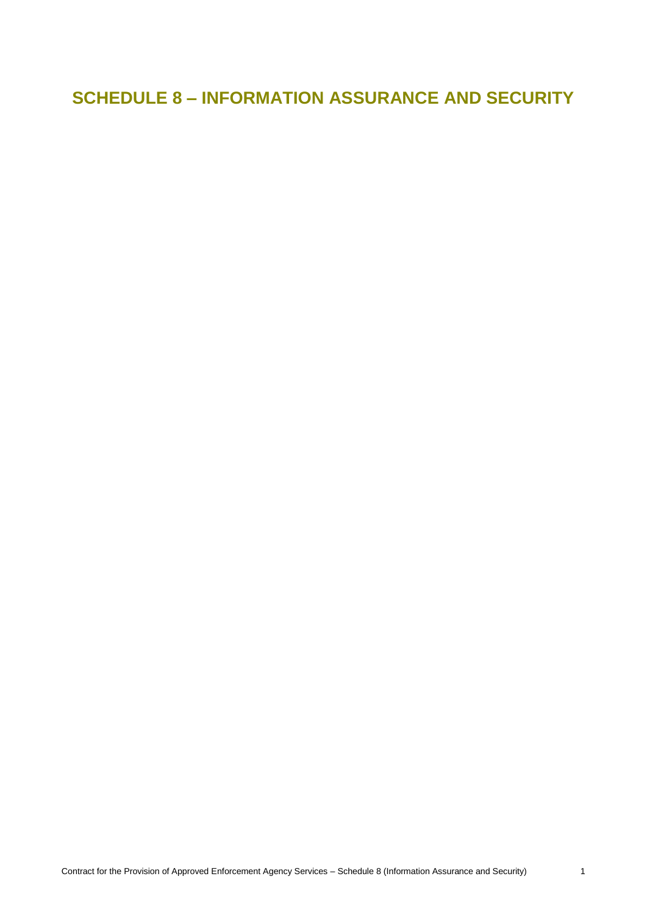**SCHEDULE 8 – INFORMATION ASSURANCE AND SECURITY**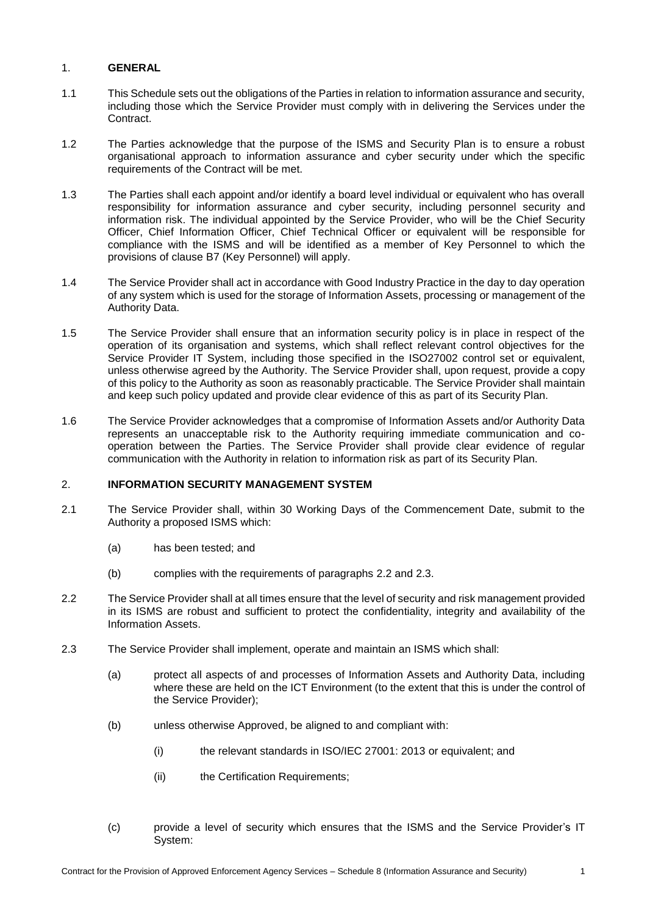## 1. **GENERAL**

- 1.1 This Schedule sets out the obligations of the Parties in relation to information assurance and security, including those which the Service Provider must comply with in delivering the Services under the Contract.
- 1.2 The Parties acknowledge that the purpose of the ISMS and Security Plan is to ensure a robust organisational approach to information assurance and cyber security under which the specific requirements of the Contract will be met.
- <span id="page-1-2"></span>1.3 The Parties shall each appoint and/or identify a board level individual or equivalent who has overall responsibility for information assurance and cyber security, including personnel security and information risk. The individual appointed by the Service Provider, who will be the Chief Security Officer, Chief Information Officer, Chief Technical Officer or equivalent will be responsible for compliance with the ISMS and will be identified as a member of Key Personnel to which the provisions of clause B7 (Key Personnel) will apply.
- 1.4 The Service Provider shall act in accordance with Good Industry Practice in the day to day operation of any system which is used for the storage of Information Assets, processing or management of the Authority Data.
- 1.5 The Service Provider shall ensure that an information security policy is in place in respect of the operation of its organisation and systems, which shall reflect relevant control objectives for the Service Provider IT System, including those specified in the ISO27002 control set or equivalent, unless otherwise agreed by the Authority. The Service Provider shall, upon request, provide a copy of this policy to the Authority as soon as reasonably practicable. The Service Provider shall maintain and keep such policy updated and provide clear evidence of this as part of its Security Plan.
- 1.6 The Service Provider acknowledges that a compromise of Information Assets and/or Authority Data represents an unacceptable risk to the Authority requiring immediate communication and cooperation between the Parties. The Service Provider shall provide clear evidence of regular communication with the Authority in relation to information risk as part of its Security Plan.

## 2. **INFORMATION SECURITY MANAGEMENT SYSTEM**

- <span id="page-1-3"></span>2.1 The Service Provider shall, within 30 Working Days of the Commencement Date, submit to the Authority a proposed ISMS which:
	- (a) has been tested; and
	- (b) complies with the requirements of paragraphs [2.2](#page-1-0) and [2.3.](#page-1-1)
- <span id="page-1-0"></span>2.2 The Service Provider shall at all times ensure that the level of security and risk management provided in its ISMS are robust and sufficient to protect the confidentiality, integrity and availability of the Information Assets.
- <span id="page-1-1"></span>2.3 The Service Provider shall implement, operate and maintain an ISMS which shall:
	- (a) protect all aspects of and processes of Information Assets and Authority Data, including where these are held on the ICT Environment (to the extent that this is under the control of the Service Provider);
	- (b) unless otherwise Approved, be aligned to and compliant with:
		- (i) the relevant standards in ISO/IEC 27001: 2013 or equivalent; and
		- (ii) the Certification Requirements;
	- (c) provide a level of security which ensures that the ISMS and the Service Provider's IT System: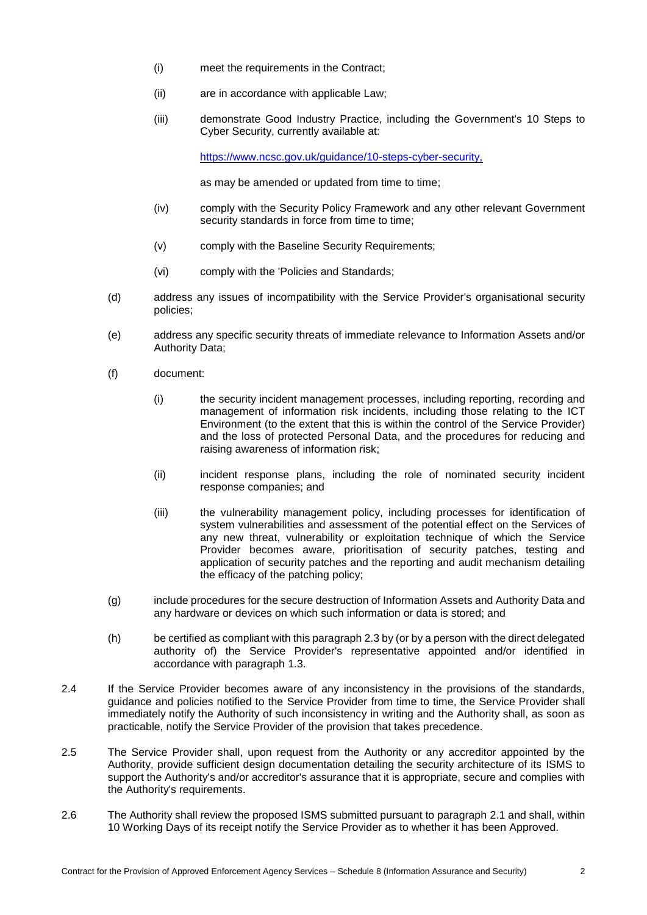- (i) meet the requirements in the Contract;
- (ii) are in accordance with applicable Law;
- (iii) demonstrate Good Industry Practice, including the Government's 10 Steps to Cyber Security, currently available at:

[https://www.ncsc.gov.uk/guidance/10-steps-cyber-security,](https://www.ncsc.gov.uk/guidance/10-steps-cyber-security)

as may be amended or updated from time to time;

- (iv) comply with the Security Policy Framework and any other relevant Government security standards in force from time to time;
- (v) comply with the Baseline Security Requirements;
- (vi) comply with the 'Policies and Standards;
- (d) address any issues of incompatibility with the Service Provider's organisational security policies;
- (e) address any specific security threats of immediate relevance to Information Assets and/or Authority Data;
- (f) document:
	- (i) the security incident management processes, including reporting, recording and management of information risk incidents, including those relating to the ICT Environment (to the extent that this is within the control of the Service Provider) and the loss of protected Personal Data, and the procedures for reducing and raising awareness of information risk;
	- (ii) incident response plans, including the role of nominated security incident response companies; and
	- (iii) the vulnerability management policy, including processes for identification of system vulnerabilities and assessment of the potential effect on the Services of any new threat, vulnerability or exploitation technique of which the Service Provider becomes aware, prioritisation of security patches, testing and application of security patches and the reporting and audit mechanism detailing the efficacy of the patching policy;
- (g) include procedures for the secure destruction of Information Assets and Authority Data and any hardware or devices on which such information or data is stored; and
- (h) be certified as compliant with this paragrap[h 2.3](#page-1-1) by (or by a person with the direct delegated authority of) the Service Provider's representative appointed and/or identified in accordance with paragraph [1.3.](#page-1-2)
- 2.4 If the Service Provider becomes aware of any inconsistency in the provisions of the standards, guidance and policies notified to the Service Provider from time to time, the Service Provider shall immediately notify the Authority of such inconsistency in writing and the Authority shall, as soon as practicable, notify the Service Provider of the provision that takes precedence.
- 2.5 The Service Provider shall, upon request from the Authority or any accreditor appointed by the Authority, provide sufficient design documentation detailing the security architecture of its ISMS to support the Authority's and/or accreditor's assurance that it is appropriate, secure and complies with the Authority's requirements.
- 2.6 The Authority shall review the proposed ISMS submitted pursuant to paragraph [2.1](#page-1-3) and shall, within 10 Working Days of its receipt notify the Service Provider as to whether it has been Approved.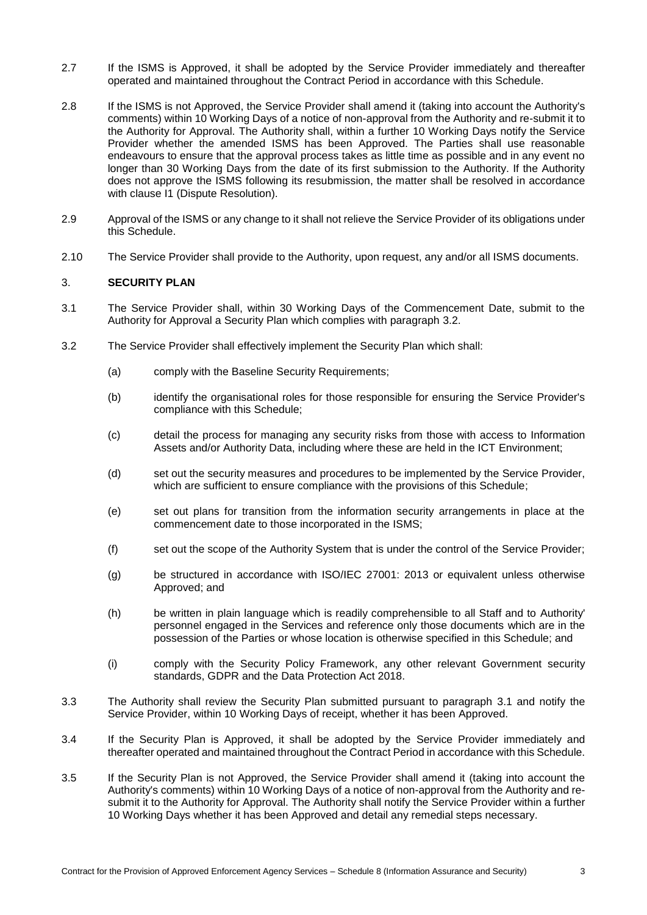- 2.7 If the ISMS is Approved, it shall be adopted by the Service Provider immediately and thereafter operated and maintained throughout the Contract Period in accordance with this Schedule.
- 2.8 If the ISMS is not Approved, the Service Provider shall amend it (taking into account the Authority's comments) within 10 Working Days of a notice of non-approval from the Authority and re-submit it to the Authority for Approval. The Authority shall, within a further 10 Working Days notify the Service Provider whether the amended ISMS has been Approved. The Parties shall use reasonable endeavours to ensure that the approval process takes as little time as possible and in any event no longer than 30 Working Days from the date of its first submission to the Authority. If the Authority does not approve the ISMS following its resubmission, the matter shall be resolved in accordance with clause I1 (Dispute Resolution).
- 2.9 Approval of the ISMS or any change to it shall not relieve the Service Provider of its obligations under this Schedule.
- 2.10 The Service Provider shall provide to the Authority, upon request, any and/or all ISMS documents.

### 3. **SECURITY PLAN**

- <span id="page-3-1"></span>3.1 The Service Provider shall, within 30 Working Days of the Commencement Date, submit to the Authority for Approval a Security Plan which complies with paragraph [3.2.](#page-3-0)
- <span id="page-3-0"></span>3.2 The Service Provider shall effectively implement the Security Plan which shall:
	- (a) comply with the Baseline Security Requirements;
	- (b) identify the organisational roles for those responsible for ensuring the Service Provider's compliance with this Schedule;
	- (c) detail the process for managing any security risks from those with access to Information Assets and/or Authority Data, including where these are held in the ICT Environment;
	- (d) set out the security measures and procedures to be implemented by the Service Provider, which are sufficient to ensure compliance with the provisions of this Schedule;
	- (e) set out plans for transition from the information security arrangements in place at the commencement date to those incorporated in the ISMS;
	- (f) set out the scope of the Authority System that is under the control of the Service Provider;
	- (g) be structured in accordance with ISO/IEC 27001: 2013 or equivalent unless otherwise Approved; and
	- (h) be written in plain language which is readily comprehensible to all Staff and to Authority' personnel engaged in the Services and reference only those documents which are in the possession of the Parties or whose location is otherwise specified in this Schedule; and
	- (i) comply with the Security Policy Framework, any other relevant Government security standards, GDPR and the Data Protection Act 2018.
- <span id="page-3-2"></span>3.3 The Authority shall review the Security Plan submitted pursuant to paragraph [3.1](#page-3-1) and notify the Service Provider, within 10 Working Days of receipt, whether it has been Approved.
- 3.4 If the Security Plan is Approved, it shall be adopted by the Service Provider immediately and thereafter operated and maintained throughout the Contract Period in accordance with this Schedule.
- 3.5 If the Security Plan is not Approved, the Service Provider shall amend it (taking into account the Authority's comments) within 10 Working Days of a notice of non-approval from the Authority and resubmit it to the Authority for Approval. The Authority shall notify the Service Provider within a further 10 Working Days whether it has been Approved and detail any remedial steps necessary.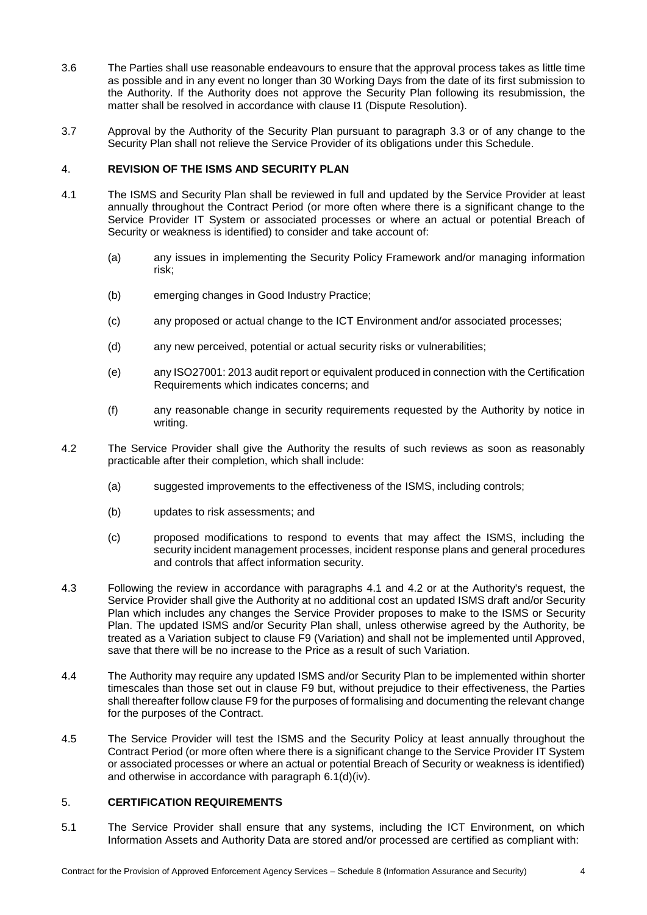- 3.6 The Parties shall use reasonable endeavours to ensure that the approval process takes as little time as possible and in any event no longer than 30 Working Days from the date of its first submission to the Authority. If the Authority does not approve the Security Plan following its resubmission, the matter shall be resolved in accordance with clause I1 (Dispute Resolution).
- 3.7 Approval by the Authority of the Security Plan pursuant to paragraph [3.3](#page-3-2) or of any change to the Security Plan shall not relieve the Service Provider of its obligations under this Schedule.

## 4. **REVISION OF THE ISMS AND SECURITY PLAN**

- <span id="page-4-0"></span>4.1 The ISMS and Security Plan shall be reviewed in full and updated by the Service Provider at least annually throughout the Contract Period (or more often where there is a significant change to the Service Provider IT System or associated processes or where an actual or potential Breach of Security or weakness is identified) to consider and take account of:
	- (a) any issues in implementing the Security Policy Framework and/or managing information risk;
	- (b) emerging changes in Good Industry Practice;
	- (c) any proposed or actual change to the ICT Environment and/or associated processes;
	- (d) any new perceived, potential or actual security risks or vulnerabilities;
	- (e) any ISO27001: 2013 audit report or equivalent produced in connection with the Certification Requirements which indicates concerns; and
	- (f) any reasonable change in security requirements requested by the Authority by notice in writing.
- <span id="page-4-1"></span>4.2 The Service Provider shall give the Authority the results of such reviews as soon as reasonably practicable after their completion, which shall include:
	- (a) suggested improvements to the effectiveness of the ISMS, including controls;
	- (b) updates to risk assessments; and
	- (c) proposed modifications to respond to events that may affect the ISMS, including the security incident management processes, incident response plans and general procedures and controls that affect information security.
- <span id="page-4-2"></span>4.3 Following the review in accordance with paragraphs [4.1](#page-4-0) and [4.2](#page-4-1) or at the Authority's request, the Service Provider shall give the Authority at no additional cost an updated ISMS draft and/or Security Plan which includes any changes the Service Provider proposes to make to the ISMS or Security Plan. The updated ISMS and/or Security Plan shall, unless otherwise agreed by the Authority, be treated as a Variation subject to clause F9 (Variation) and shall not be implemented until Approved, save that there will be no increase to the Price as a result of such Variation.
- <span id="page-4-3"></span>4.4 The Authority may require any updated ISMS and/or Security Plan to be implemented within shorter timescales than those set out in clause F9 but, without prejudice to their effectiveness, the Parties shall thereafter follow clause F9 for the purposes of formalising and documenting the relevant change for the purposes of the Contract.
- 4.5 The Service Provider will test the ISMS and the Security Policy at least annually throughout the Contract Period (or more often where there is a significant change to the Service Provider IT System or associated processes or where an actual or potential Breach of Security or weakness is identified) and otherwise in accordance with paragraph [6.1\(d\)\(iv\).](#page-6-0)

### 5. **CERTIFICATION REQUIREMENTS**

5.1 The Service Provider shall ensure that any systems, including the ICT Environment, on which Information Assets and Authority Data are stored and/or processed are certified as compliant with: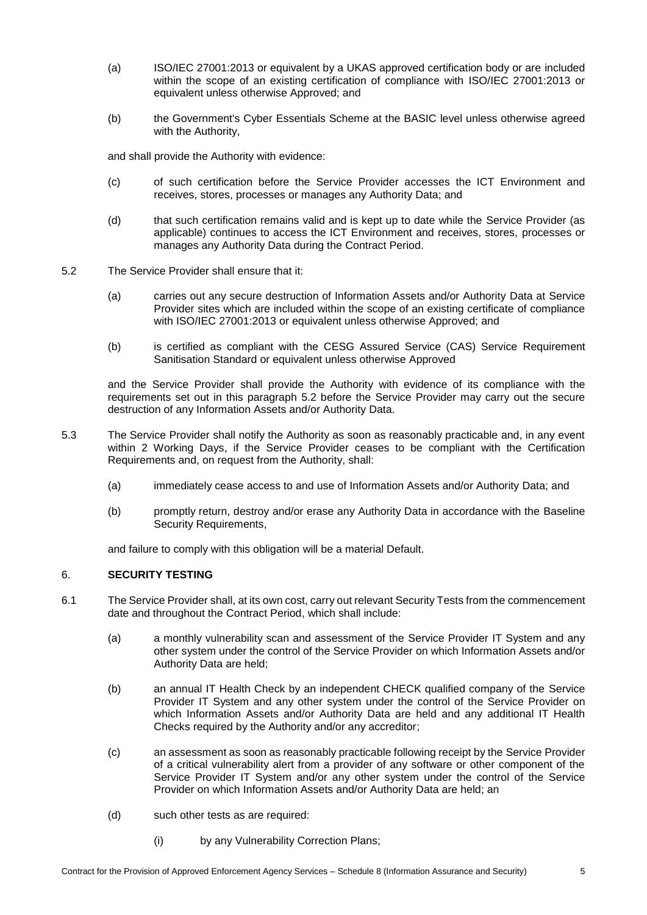- (a) ISO/IEC 27001:2013 or equivalent by a UKAS approved certification body or are included within the scope of an existing certification of compliance with ISO/IEC 27001:2013 or equivalent unless otherwise Approved; and
- (b) the Government's Cyber Essentials Scheme at the BASIC level unless otherwise agreed with the Authority,

and shall provide the Authority with evidence:

- (c) of such certification before the Service Provider accesses the ICT Environment and receives, stores, processes or manages any Authority Data; and
- (d) that such certification remains valid and is kept up to date while the Service Provider (as applicable) continues to access the ICT Environment and receives, stores, processes or manages any Authority Data during the Contract Period.
- <span id="page-5-0"></span>5.2 The Service Provider shall ensure that it:
	- (a) carries out any secure destruction of Information Assets and/or Authority Data at Service Provider sites which are included within the scope of an existing certificate of compliance with ISO/IEC 27001:2013 or equivalent unless otherwise Approved; and
	- (b) is certified as compliant with the CESG Assured Service (CAS) Service Requirement Sanitisation Standard or equivalent unless otherwise Approved

and the Service Provider shall provide the Authority with evidence of its compliance with the requirements set out in this paragraph [5.2](#page-5-0) before the Service Provider may carry out the secure destruction of any Information Assets and/or Authority Data.

- 5.3 The Service Provider shall notify the Authority as soon as reasonably practicable and, in any event within 2 Working Days, if the Service Provider ceases to be compliant with the Certification Requirements and, on request from the Authority, shall:
	- (a) immediately cease access to and use of Information Assets and/or Authority Data; and
	- (b) promptly return, destroy and/or erase any Authority Data in accordance with the Baseline Security Requirements,

and failure to comply with this obligation will be a material Default.

## 6. **SECURITY TESTING**

- <span id="page-5-1"></span>6.1 The Service Provider shall, at its own cost, carry out relevant Security Tests from the commencement date and throughout the Contract Period, which shall include:
	- (a) a monthly vulnerability scan and assessment of the Service Provider IT System and any other system under the control of the Service Provider on which Information Assets and/or Authority Data are held;
	- (b) an annual IT Health Check by an independent CHECK qualified company of the Service Provider IT System and any other system under the control of the Service Provider on which Information Assets and/or Authority Data are held and any additional IT Health Checks required by the Authority and/or any accreditor;
	- (c) an assessment as soon as reasonably practicable following receipt by the Service Provider of a critical vulnerability alert from a provider of any software or other component of the Service Provider IT System and/or any other system under the control of the Service Provider on which Information Assets and/or Authority Data are held; an
	- (d) such other tests as are required:
		- (i) by any Vulnerability Correction Plans;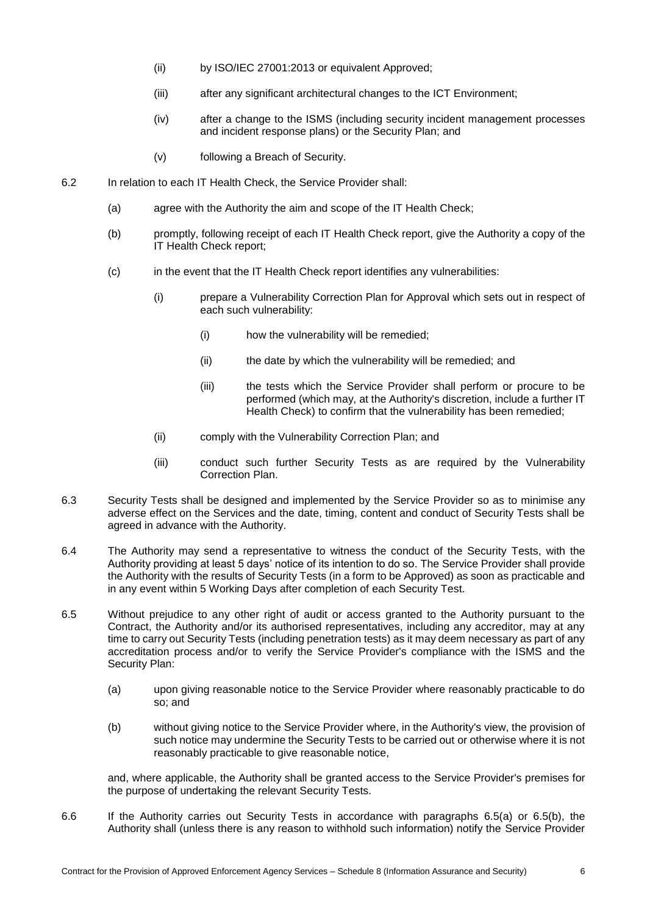- (ii) by ISO/IEC 27001:2013 or equivalent Approved;
- (iii) after any significant architectural changes to the ICT Environment;
- (iv) after a change to the ISMS (including security incident management processes and incident response plans) or the Security Plan; and
- (v) following a Breach of Security.
- <span id="page-6-0"></span>6.2 In relation to each IT Health Check, the Service Provider shall:
	- (a) agree with the Authority the aim and scope of the IT Health Check;
	- (b) promptly, following receipt of each IT Health Check report, give the Authority a copy of the IT Health Check report;
	- (c) in the event that the IT Health Check report identifies any vulnerabilities:
		- (i) prepare a Vulnerability Correction Plan for Approval which sets out in respect of each such vulnerability:
			- (i) how the vulnerability will be remedied;
			- (ii) the date by which the vulnerability will be remedied; and
			- (iii) the tests which the Service Provider shall perform or procure to be performed (which may, at the Authority's discretion, include a further IT Health Check) to confirm that the vulnerability has been remedied;
		- (ii) comply with the Vulnerability Correction Plan; and
		- (iii) conduct such further Security Tests as are required by the Vulnerability Correction Plan.
- 6.3 Security Tests shall be designed and implemented by the Service Provider so as to minimise any adverse effect on the Services and the date, timing, content and conduct of Security Tests shall be agreed in advance with the Authority.
- <span id="page-6-3"></span>6.4 The Authority may send a representative to witness the conduct of the Security Tests, with the Authority providing at least 5 days' notice of its intention to do so. The Service Provider shall provide the Authority with the results of Security Tests (in a form to be Approved) as soon as practicable and in any event within 5 Working Days after completion of each Security Test.
- <span id="page-6-1"></span>6.5 Without prejudice to any other right of audit or access granted to the Authority pursuant to the Contract, the Authority and/or its authorised representatives, including any accreditor, may at any time to carry out Security Tests (including penetration tests) as it may deem necessary as part of any accreditation process and/or to verify the Service Provider's compliance with the ISMS and the Security Plan:
	- (a) upon giving reasonable notice to the Service Provider where reasonably practicable to do so; and
	- (b) without giving notice to the Service Provider where, in the Authority's view, the provision of such notice may undermine the Security Tests to be carried out or otherwise where it is not reasonably practicable to give reasonable notice,

<span id="page-6-2"></span>and, where applicable, the Authority shall be granted access to the Service Provider's premises for the purpose of undertaking the relevant Security Tests.

6.6 If the Authority carries out Security Tests in accordance with paragraphs [6.5\(a\)](#page-6-1) or [6.5\(b\),](#page-6-2) the Authority shall (unless there is any reason to withhold such information) notify the Service Provider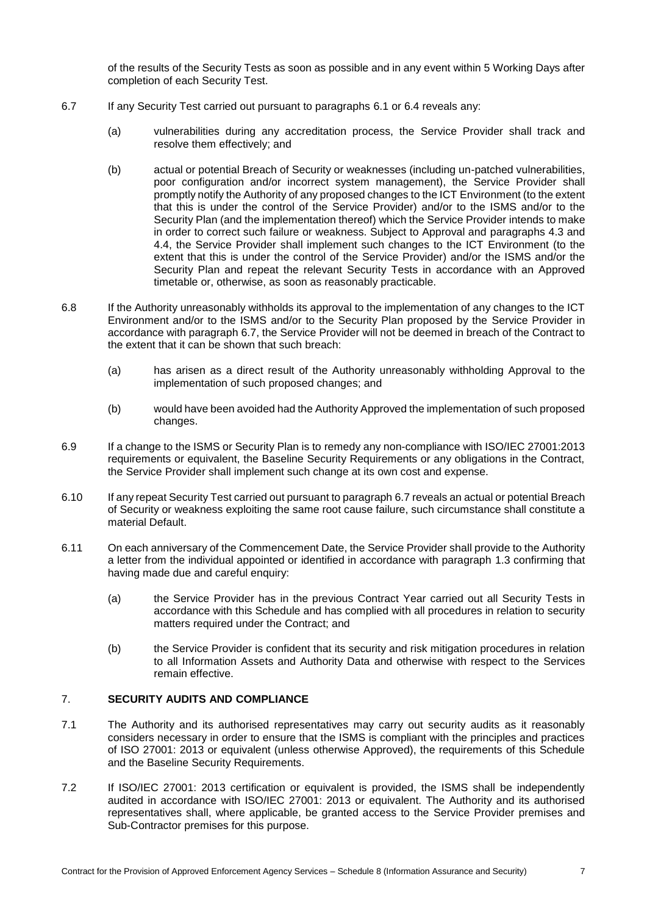of the results of the Security Tests as soon as possible and in any event within 5 Working Days after completion of each Security Test.

- <span id="page-7-0"></span>6.7 If any Security Test carried out pursuant to paragraphs [6.1](#page-5-1) or [6.4](#page-6-3) reveals any:
	- (a) vulnerabilities during any accreditation process, the Service Provider shall track and resolve them effectively; and
	- (b) actual or potential Breach of Security or weaknesses (including un-patched vulnerabilities, poor configuration and/or incorrect system management), the Service Provider shall promptly notify the Authority of any proposed changes to the ICT Environment (to the extent that this is under the control of the Service Provider) and/or to the ISMS and/or to the Security Plan (and the implementation thereof) which the Service Provider intends to make in order to correct such failure or weakness. Subject to Approval and paragraphs [4.3](#page-4-2) and [4.4,](#page-4-3) the Service Provider shall implement such changes to the ICT Environment (to the extent that this is under the control of the Service Provider) and/or the ISMS and/or the Security Plan and repeat the relevant Security Tests in accordance with an Approved timetable or, otherwise, as soon as reasonably practicable.
- 6.8 If the Authority unreasonably withholds its approval to the implementation of any changes to the ICT Environment and/or to the ISMS and/or to the Security Plan proposed by the Service Provider in accordance with paragraph [6.7,](#page-7-0) the Service Provider will not be deemed in breach of the Contract to the extent that it can be shown that such breach:
	- (a) has arisen as a direct result of the Authority unreasonably withholding Approval to the implementation of such proposed changes; and
	- (b) would have been avoided had the Authority Approved the implementation of such proposed changes.
- 6.9 If a change to the ISMS or Security Plan is to remedy any non-compliance with ISO/IEC 27001:2013 requirements or equivalent, the Baseline Security Requirements or any obligations in the Contract, the Service Provider shall implement such change at its own cost and expense.
- 6.10 If any repeat Security Test carried out pursuant to paragrap[h 6.7](#page-7-0) reveals an actual or potential Breach of Security or weakness exploiting the same root cause failure, such circumstance shall constitute a material Default.
- 6.11 On each anniversary of the Commencement Date, the Service Provider shall provide to the Authority a letter from the individual appointed or identified in accordance with paragraph [1.3](#page-1-2) confirming that having made due and careful enquiry:
	- (a) the Service Provider has in the previous Contract Year carried out all Security Tests in accordance with this Schedule and has complied with all procedures in relation to security matters required under the Contract; and
	- (b) the Service Provider is confident that its security and risk mitigation procedures in relation to all Information Assets and Authority Data and otherwise with respect to the Services remain effective.

## 7. **SECURITY AUDITS AND COMPLIANCE**

- 7.1 The Authority and its authorised representatives may carry out security audits as it reasonably considers necessary in order to ensure that the ISMS is compliant with the principles and practices of ISO 27001: 2013 or equivalent (unless otherwise Approved), the requirements of this Schedule and the Baseline Security Requirements.
- 7.2 If ISO/IEC 27001: 2013 certification or equivalent is provided, the ISMS shall be independently audited in accordance with ISO/IEC 27001: 2013 or equivalent. The Authority and its authorised representatives shall, where applicable, be granted access to the Service Provider premises and Sub-Contractor premises for this purpose.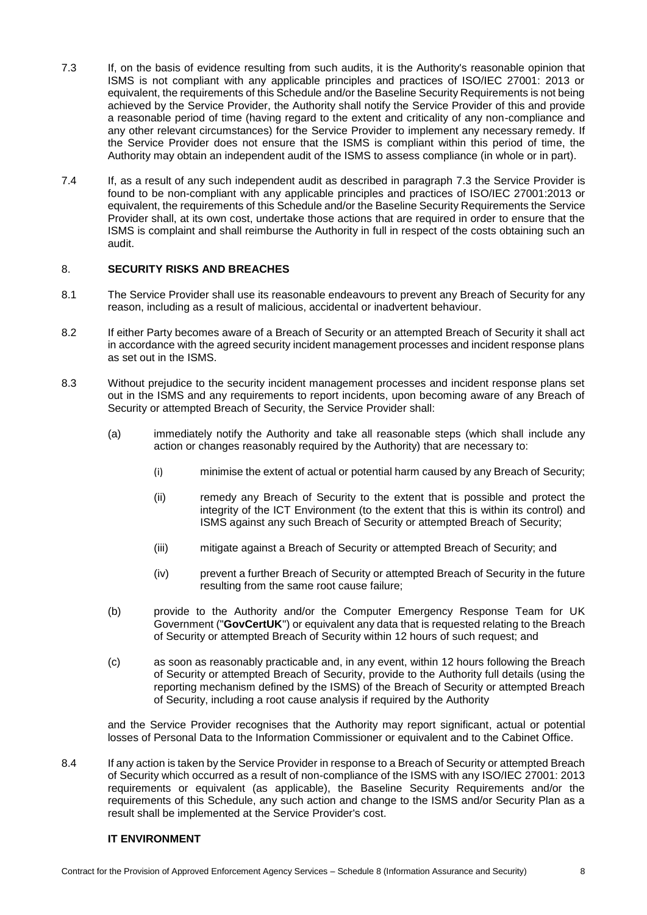- <span id="page-8-0"></span>7.3 If, on the basis of evidence resulting from such audits, it is the Authority's reasonable opinion that ISMS is not compliant with any applicable principles and practices of ISO/IEC 27001: 2013 or equivalent, the requirements of this Schedule and/or the Baseline Security Requirements is not being achieved by the Service Provider, the Authority shall notify the Service Provider of this and provide a reasonable period of time (having regard to the extent and criticality of any non-compliance and any other relevant circumstances) for the Service Provider to implement any necessary remedy. If the Service Provider does not ensure that the ISMS is compliant within this period of time, the Authority may obtain an independent audit of the ISMS to assess compliance (in whole or in part).
- 7.4 If, as a result of any such independent audit as described in paragraph [7.3](#page-8-0) the Service Provider is found to be non-compliant with any applicable principles and practices of ISO/IEC 27001:2013 or equivalent, the requirements of this Schedule and/or the Baseline Security Requirements the Service Provider shall, at its own cost, undertake those actions that are required in order to ensure that the ISMS is complaint and shall reimburse the Authority in full in respect of the costs obtaining such an audit.

### 8. **SECURITY RISKS AND BREACHES**

- 8.1 The Service Provider shall use its reasonable endeavours to prevent any Breach of Security for any reason, including as a result of malicious, accidental or inadvertent behaviour.
- <span id="page-8-1"></span>8.2 If either Party becomes aware of a Breach of Security or an attempted Breach of Security it shall act in accordance with the agreed security incident management processes and incident response plans as set out in the ISMS.
- <span id="page-8-2"></span>8.3 Without prejudice to the security incident management processes and incident response plans set out in the ISMS and any requirements to report incidents, upon becoming aware of any Breach of Security or attempted Breach of Security, the Service Provider shall:
	- (a) immediately notify the Authority and take all reasonable steps (which shall include any action or changes reasonably required by the Authority) that are necessary to:
		- (i) minimise the extent of actual or potential harm caused by any Breach of Security;
		- (ii) remedy any Breach of Security to the extent that is possible and protect the integrity of the ICT Environment (to the extent that this is within its control) and ISMS against any such Breach of Security or attempted Breach of Security;
		- (iii) mitigate against a Breach of Security or attempted Breach of Security; and
		- (iv) prevent a further Breach of Security or attempted Breach of Security in the future resulting from the same root cause failure;
	- (b) provide to the Authority and/or the Computer Emergency Response Team for UK Government ("**GovCertUK**") or equivalent any data that is requested relating to the Breach of Security or attempted Breach of Security within 12 hours of such request; and
	- (c) as soon as reasonably practicable and, in any event, within 12 hours following the Breach of Security or attempted Breach of Security, provide to the Authority full details (using the reporting mechanism defined by the ISMS) of the Breach of Security or attempted Breach of Security, including a root cause analysis if required by the Authority

and the Service Provider recognises that the Authority may report significant, actual or potential losses of Personal Data to the Information Commissioner or equivalent and to the Cabinet Office.

8.4 If any action is taken by the Service Provider in response to a Breach of Security or attempted Breach of Security which occurred as a result of non-compliance of the ISMS with any ISO/IEC 27001: 2013 requirements or equivalent (as applicable), the Baseline Security Requirements and/or the requirements of this Schedule, any such action and change to the ISMS and/or Security Plan as a result shall be implemented at the Service Provider's cost.

## **IT ENVIRONMENT**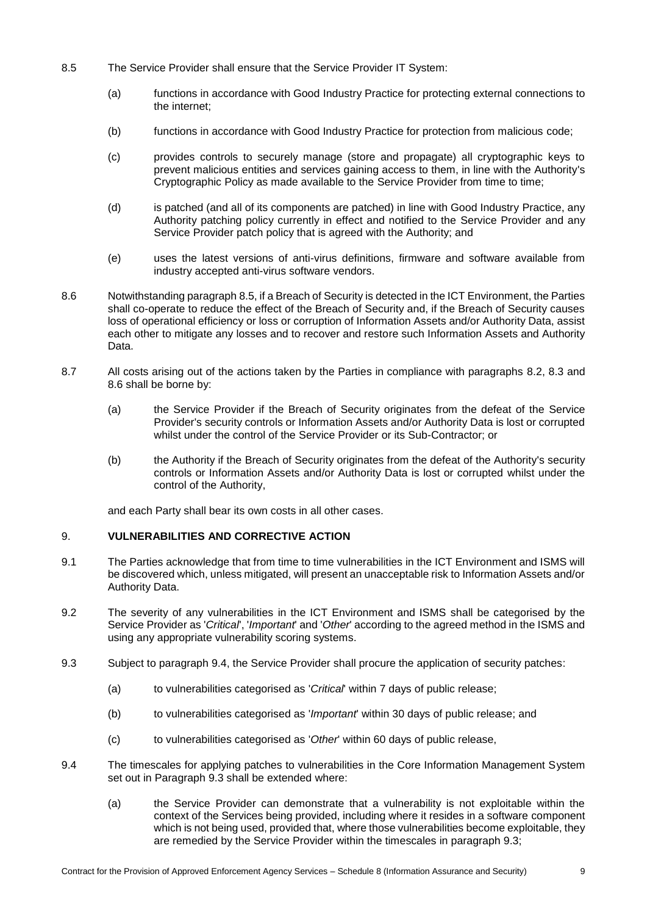- <span id="page-9-0"></span>8.5 The Service Provider shall ensure that the Service Provider IT System:
	- (a) functions in accordance with Good Industry Practice for protecting external connections to the internet;
	- (b) functions in accordance with Good Industry Practice for protection from malicious code;
	- (c) provides controls to securely manage (store and propagate) all cryptographic keys to prevent malicious entities and services gaining access to them, in line with the Authority's Cryptographic Policy as made available to the Service Provider from time to time;
	- (d) is patched (and all of its components are patched) in line with Good Industry Practice, any Authority patching policy currently in effect and notified to the Service Provider and any Service Provider patch policy that is agreed with the Authority; and
	- (e) uses the latest versions of anti-virus definitions, firmware and software available from industry accepted anti-virus software vendors.
- <span id="page-9-1"></span>8.6 Notwithstanding paragraph [8.5,](#page-9-0) if a Breach of Security is detected in the ICT Environment, the Parties shall co-operate to reduce the effect of the Breach of Security and, if the Breach of Security causes loss of operational efficiency or loss or corruption of Information Assets and/or Authority Data, assist each other to mitigate any losses and to recover and restore such Information Assets and Authority Data.
- 8.7 All costs arising out of the actions taken by the Parties in compliance with paragraphs [8.2,](#page-8-1) [8.3](#page-8-2) and [8.6](#page-9-1) shall be borne by:
	- (a) the Service Provider if the Breach of Security originates from the defeat of the Service Provider's security controls or Information Assets and/or Authority Data is lost or corrupted whilst under the control of the Service Provider or its Sub-Contractor; or
	- (b) the Authority if the Breach of Security originates from the defeat of the Authority's security controls or Information Assets and/or Authority Data is lost or corrupted whilst under the control of the Authority,

and each Party shall bear its own costs in all other cases.

## 9. **VULNERABILITIES AND CORRECTIVE ACTION**

- 9.1 The Parties acknowledge that from time to time vulnerabilities in the ICT Environment and ISMS will be discovered which, unless mitigated, will present an unacceptable risk to Information Assets and/or Authority Data.
- 9.2 The severity of any vulnerabilities in the ICT Environment and ISMS shall be categorised by the Service Provider as '*Critical*', '*Important*' and '*Other*' according to the agreed method in the ISMS and using any appropriate vulnerability scoring systems.
- <span id="page-9-3"></span>9.3 Subject to paragraph [9.4,](#page-9-2) the Service Provider shall procure the application of security patches:
	- (a) to vulnerabilities categorised as '*Critical*' within 7 days of public release;
	- (b) to vulnerabilities categorised as '*Important*' within 30 days of public release; and
	- (c) to vulnerabilities categorised as '*Other*' within 60 days of public release,
- <span id="page-9-2"></span>9.4 The timescales for applying patches to vulnerabilities in the Core Information Management System set out in Paragraph 9.3 shall be extended where:
	- (a) the Service Provider can demonstrate that a vulnerability is not exploitable within the context of the Services being provided, including where it resides in a software component which is not being used, provided that, where those vulnerabilities become exploitable, they are remedied by the Service Provider within the timescales in paragraph [9.3;](#page-9-3)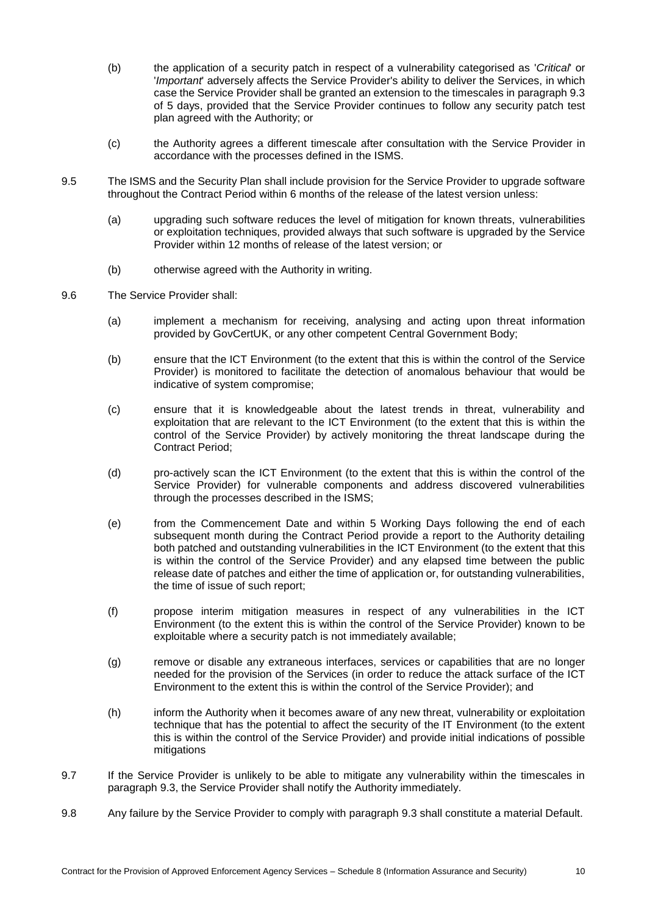- (b) the application of a security patch in respect of a vulnerability categorised as '*Critical*' or '*Important*' adversely affects the Service Provider's ability to deliver the Services, in which case the Service Provider shall be granted an extension to the timescales in paragrap[h 9.3](#page-9-3) of 5 days, provided that the Service Provider continues to follow any security patch test plan agreed with the Authority; or
- (c) the Authority agrees a different timescale after consultation with the Service Provider in accordance with the processes defined in the ISMS.
- 9.5 The ISMS and the Security Plan shall include provision for the Service Provider to upgrade software throughout the Contract Period within 6 months of the release of the latest version unless:
	- (a) upgrading such software reduces the level of mitigation for known threats, vulnerabilities or exploitation techniques, provided always that such software is upgraded by the Service Provider within 12 months of release of the latest version; or
	- (b) otherwise agreed with the Authority in writing.
- 9.6 The Service Provider shall:
	- (a) implement a mechanism for receiving, analysing and acting upon threat information provided by GovCertUK, or any other competent Central Government Body;
	- (b) ensure that the ICT Environment (to the extent that this is within the control of the Service Provider) is monitored to facilitate the detection of anomalous behaviour that would be indicative of system compromise;
	- (c) ensure that it is knowledgeable about the latest trends in threat, vulnerability and exploitation that are relevant to the ICT Environment (to the extent that this is within the control of the Service Provider) by actively monitoring the threat landscape during the Contract Period;
	- (d) pro-actively scan the ICT Environment (to the extent that this is within the control of the Service Provider) for vulnerable components and address discovered vulnerabilities through the processes described in the ISMS;
	- (e) from the Commencement Date and within 5 Working Days following the end of each subsequent month during the Contract Period provide a report to the Authority detailing both patched and outstanding vulnerabilities in the ICT Environment (to the extent that this is within the control of the Service Provider) and any elapsed time between the public release date of patches and either the time of application or, for outstanding vulnerabilities, the time of issue of such report;
	- (f) propose interim mitigation measures in respect of any vulnerabilities in the ICT Environment (to the extent this is within the control of the Service Provider) known to be exploitable where a security patch is not immediately available;
	- (g) remove or disable any extraneous interfaces, services or capabilities that are no longer needed for the provision of the Services (in order to reduce the attack surface of the ICT Environment to the extent this is within the control of the Service Provider); and
	- (h) inform the Authority when it becomes aware of any new threat, vulnerability or exploitation technique that has the potential to affect the security of the IT Environment (to the extent this is within the control of the Service Provider) and provide initial indications of possible mitigations
- 9.7 If the Service Provider is unlikely to be able to mitigate any vulnerability within the timescales in paragraph [9.3,](#page-9-3) the Service Provider shall notify the Authority immediately.
- 9.8 Any failure by the Service Provider to comply with paragraph [9.3](#page-9-3) shall constitute a material Default.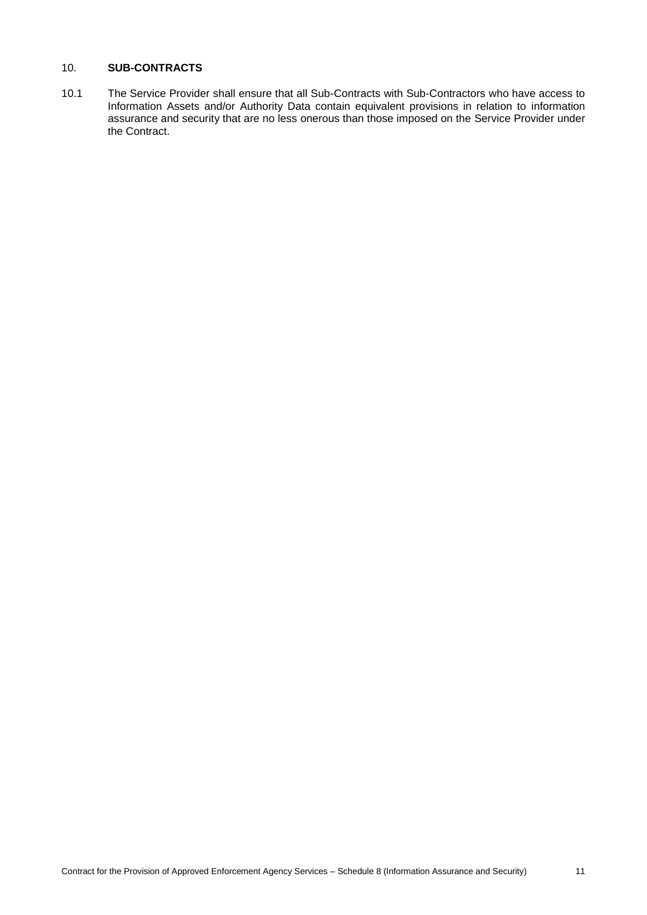# 10. **SUB-CONTRACTS**

10.1 The Service Provider shall ensure that all Sub-Contracts with Sub-Contractors who have access to Information Assets and/or Authority Data contain equivalent provisions in relation to information assurance and security that are no less onerous than those imposed on the Service Provider under the Contract.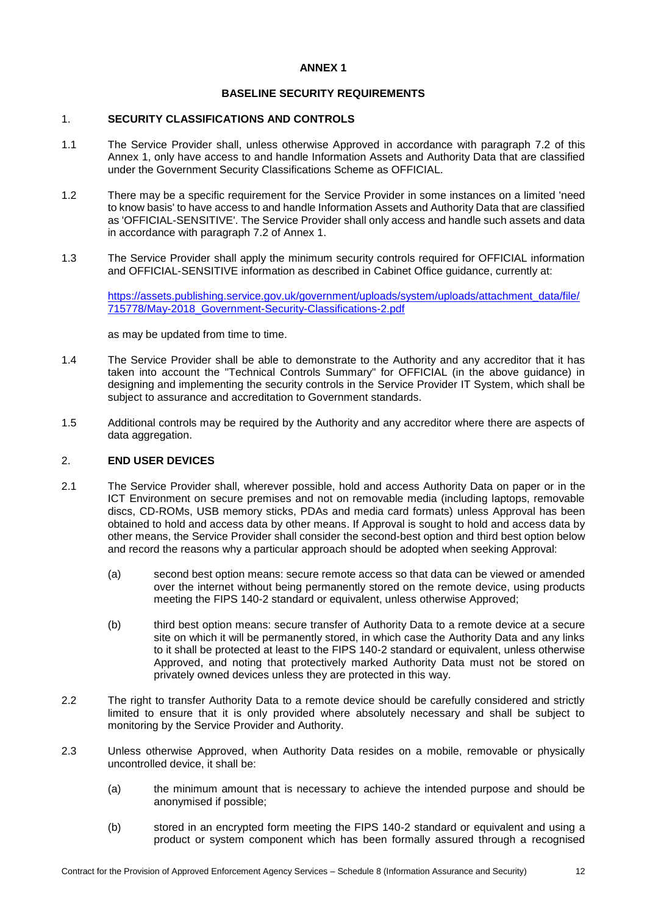#### **ANNEX 1**

### **BASELINE SECURITY REQUIREMENTS**

#### <span id="page-12-0"></span>1. **SECURITY CLASSIFICATIONS AND CONTROLS**

- 1.1 The Service Provider shall, unless otherwise Approved in accordance with paragraph [7.2](#page-15-0) of this Annex [1,](#page-12-0) only have access to and handle Information Assets and Authority Data that are classified under the Government Security Classifications Scheme as OFFICIAL.
- 1.2 There may be a specific requirement for the Service Provider in some instances on a limited 'need to know basis' to have access to and handle Information Assets and Authority Data that are classified as 'OFFICIAL-SENSITIVE'. The Service Provider shall only access and handle such assets and data in accordance with paragraph [7.2](#page-15-0) of [Annex](#page-12-0) 1.
- 1.3 The Service Provider shall apply the minimum security controls required for OFFICIAL information and OFFICIAL-SENSITIVE information as described in Cabinet Office guidance, currently at:

[https://assets.publishing.service.gov.uk/government/uploads/system/uploads/attachment\\_data/file/](https://assets.publishing.service.gov.uk/government/uploads/system/uploads/attachment_data/file/715778/May-2018_Government-Security-Classifications-2.pdf) [715778/May-2018\\_Government-Security-Classifications-2.pdf](https://assets.publishing.service.gov.uk/government/uploads/system/uploads/attachment_data/file/715778/May-2018_Government-Security-Classifications-2.pdf)

as may be updated from time to time.

- 1.4 The Service Provider shall be able to demonstrate to the Authority and any accreditor that it has taken into account the "Technical Controls Summary" for OFFICIAL (in the above guidance) in designing and implementing the security controls in the Service Provider IT System, which shall be subject to assurance and accreditation to Government standards.
- 1.5 Additional controls may be required by the Authority and any accreditor where there are aspects of data aggregation.

## 2. **END USER DEVICES**

- 2.1 The Service Provider shall, wherever possible, hold and access Authority Data on paper or in the ICT Environment on secure premises and not on removable media (including laptops, removable discs, CD-ROMs, USB memory sticks, PDAs and media card formats) unless Approval has been obtained to hold and access data by other means. If Approval is sought to hold and access data by other means, the Service Provider shall consider the second-best option and third best option below and record the reasons why a particular approach should be adopted when seeking Approval:
	- (a) second best option means: secure remote access so that data can be viewed or amended over the internet without being permanently stored on the remote device, using products meeting the FIPS 140-2 standard or equivalent, unless otherwise Approved;
	- (b) third best option means: secure transfer of Authority Data to a remote device at a secure site on which it will be permanently stored, in which case the Authority Data and any links to it shall be protected at least to the FIPS 140-2 standard or equivalent, unless otherwise Approved, and noting that protectively marked Authority Data must not be stored on privately owned devices unless they are protected in this way.
- 2.2 The right to transfer Authority Data to a remote device should be carefully considered and strictly limited to ensure that it is only provided where absolutely necessary and shall be subject to monitoring by the Service Provider and Authority.
- 2.3 Unless otherwise Approved, when Authority Data resides on a mobile, removable or physically uncontrolled device, it shall be:
	- (a) the minimum amount that is necessary to achieve the intended purpose and should be anonymised if possible;
	- (b) stored in an encrypted form meeting the FIPS 140-2 standard or equivalent and using a product or system component which has been formally assured through a recognised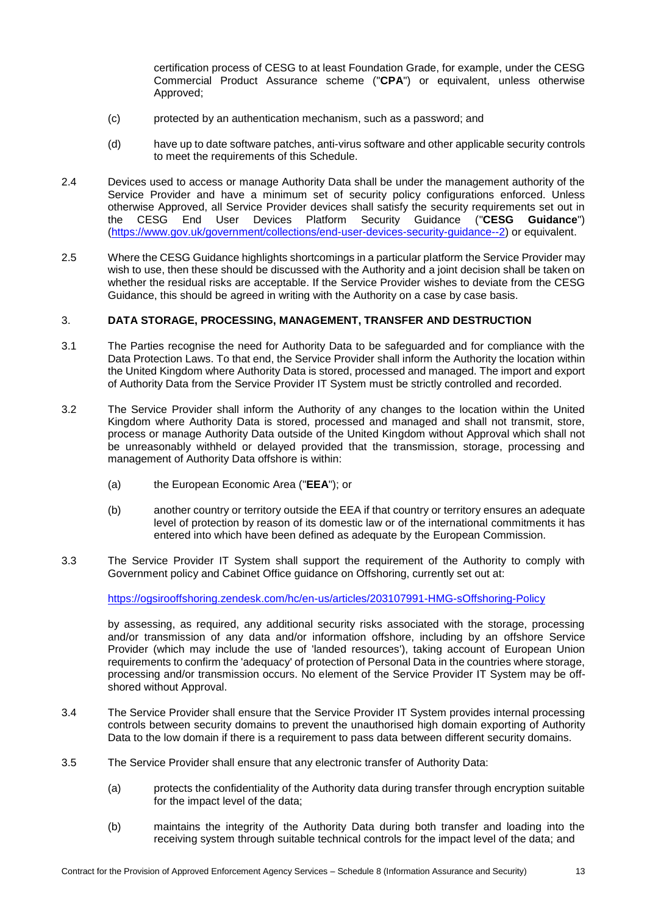certification process of CESG to at least Foundation Grade, for example, under the CESG Commercial Product Assurance scheme ("**CPA**") or equivalent, unless otherwise Approved;

- (c) protected by an authentication mechanism, such as a password; and
- (d) have up to date software patches, anti-virus software and other applicable security controls to meet the requirements of this Schedule.
- 2.4 Devices used to access or manage Authority Data shall be under the management authority of the Service Provider and have a minimum set of security policy configurations enforced. Unless otherwise Approved, all Service Provider devices shall satisfy the security requirements set out in<br>the CESG End User Devices Platform Security Guidance ("CESG Guidance") the CESG End User Devices Platform Security Guidance ("**CESG Guidance**") [\(https://www.gov.uk/government/collections/end-user-devices-security-guidance--2\)](https://www.gov.uk/government/collections/end-user-devices-security-guidance--2) or equivalent.
- 2.5 Where the CESG Guidance highlights shortcomings in a particular platform the Service Provider may wish to use, then these should be discussed with the Authority and a joint decision shall be taken on whether the residual risks are acceptable. If the Service Provider wishes to deviate from the CESG Guidance, this should be agreed in writing with the Authority on a case by case basis.

## 3. **DATA STORAGE, PROCESSING, MANAGEMENT, TRANSFER AND DESTRUCTION**

- 3.1 The Parties recognise the need for Authority Data to be safeguarded and for compliance with the Data Protection Laws. To that end, the Service Provider shall inform the Authority the location within the United Kingdom where Authority Data is stored, processed and managed. The import and export of Authority Data from the Service Provider IT System must be strictly controlled and recorded.
- 3.2 The Service Provider shall inform the Authority of any changes to the location within the United Kingdom where Authority Data is stored, processed and managed and shall not transmit, store, process or manage Authority Data outside of the United Kingdom without Approval which shall not be unreasonably withheld or delayed provided that the transmission, storage, processing and management of Authority Data offshore is within:
	- (a) the European Economic Area ("**EEA**"); or
	- (b) another country or territory outside the EEA if that country or territory ensures an adequate level of protection by reason of its domestic law or of the international commitments it has entered into which have been defined as adequate by the European Commission.
- 3.3 The Service Provider IT System shall support the requirement of the Authority to comply with Government policy and Cabinet Office guidance on Offshoring, currently set out at:

<https://ogsirooffshoring.zendesk.com/hc/en-us/articles/203107991-HMG-sOffshoring-Policy>

by assessing, as required, any additional security risks associated with the storage, processing and/or transmission of any data and/or information offshore, including by an offshore Service Provider (which may include the use of 'landed resources'), taking account of European Union requirements to confirm the 'adequacy' of protection of Personal Data in the countries where storage, processing and/or transmission occurs. No element of the Service Provider IT System may be offshored without Approval.

- 3.4 The Service Provider shall ensure that the Service Provider IT System provides internal processing controls between security domains to prevent the unauthorised high domain exporting of Authority Data to the low domain if there is a requirement to pass data between different security domains.
- 3.5 The Service Provider shall ensure that any electronic transfer of Authority Data:
	- (a) protects the confidentiality of the Authority data during transfer through encryption suitable for the impact level of the data;
	- (b) maintains the integrity of the Authority Data during both transfer and loading into the receiving system through suitable technical controls for the impact level of the data; and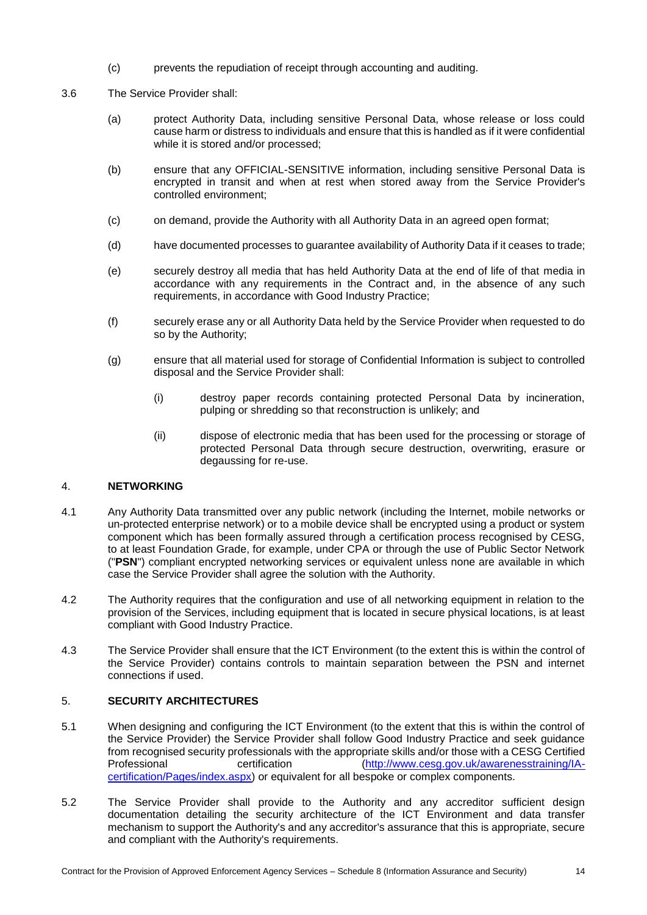- (c) prevents the repudiation of receipt through accounting and auditing.
- 3.6 The Service Provider shall:
	- (a) protect Authority Data, including sensitive Personal Data, whose release or loss could cause harm or distress to individuals and ensure that this is handled as if it were confidential while it is stored and/or processed;
	- (b) ensure that any OFFICIAL-SENSITIVE information, including sensitive Personal Data is encrypted in transit and when at rest when stored away from the Service Provider's controlled environment;
	- (c) on demand, provide the Authority with all Authority Data in an agreed open format;
	- (d) have documented processes to guarantee availability of Authority Data if it ceases to trade;
	- (e) securely destroy all media that has held Authority Data at the end of life of that media in accordance with any requirements in the Contract and, in the absence of any such requirements, in accordance with Good Industry Practice;
	- (f) securely erase any or all Authority Data held by the Service Provider when requested to do so by the Authority;
	- (g) ensure that all material used for storage of Confidential Information is subject to controlled disposal and the Service Provider shall:
		- (i) destroy paper records containing protected Personal Data by incineration, pulping or shredding so that reconstruction is unlikely; and
		- (ii) dispose of electronic media that has been used for the processing or storage of protected Personal Data through secure destruction, overwriting, erasure or degaussing for re-use.

## 4. **NETWORKING**

- 4.1 Any Authority Data transmitted over any public network (including the Internet, mobile networks or un-protected enterprise network) or to a mobile device shall be encrypted using a product or system component which has been formally assured through a certification process recognised by CESG, to at least Foundation Grade, for example, under CPA or through the use of Public Sector Network ("**PSN**") compliant encrypted networking services or equivalent unless none are available in which case the Service Provider shall agree the solution with the Authority.
- 4.2 The Authority requires that the configuration and use of all networking equipment in relation to the provision of the Services, including equipment that is located in secure physical locations, is at least compliant with Good Industry Practice.
- 4.3 The Service Provider shall ensure that the ICT Environment (to the extent this is within the control of the Service Provider) contains controls to maintain separation between the PSN and internet connections if used.

## 5. **SECURITY ARCHITECTURES**

- 5.1 When designing and configuring the ICT Environment (to the extent that this is within the control of the Service Provider) the Service Provider shall follow Good Industry Practice and seek guidance from recognised security professionals with the appropriate skills and/or those with a CESG Certified<br>-Professional certification (http://www.cesq.gov.uk/awarenesstraining/IA Professional certification [\(http://www.cesg.gov.uk/awarenesstraining/IA](http://www.cesg.gov.uk/awarenesstraining/IA-certification/Pages/index.aspx)[certification/Pages/index.aspx\)](http://www.cesg.gov.uk/awarenesstraining/IA-certification/Pages/index.aspx) or equivalent for all bespoke or complex components.
- 5.2 The Service Provider shall provide to the Authority and any accreditor sufficient design documentation detailing the security architecture of the ICT Environment and data transfer mechanism to support the Authority's and any accreditor's assurance that this is appropriate, secure and compliant with the Authority's requirements.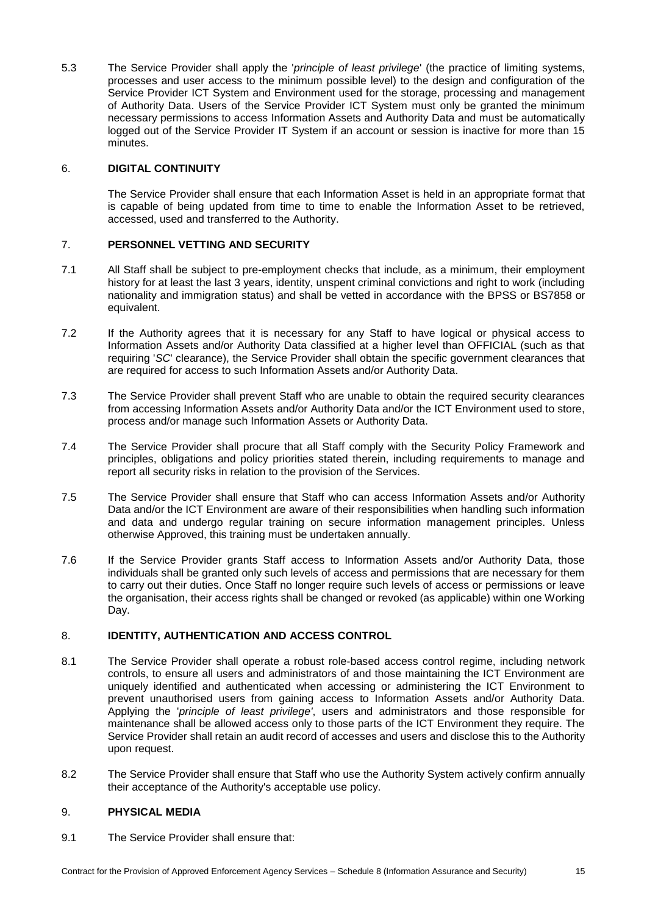5.3 The Service Provider shall apply the '*principle of least privilege*' (the practice of limiting systems, processes and user access to the minimum possible level) to the design and configuration of the Service Provider ICT System and Environment used for the storage, processing and management of Authority Data. Users of the Service Provider ICT System must only be granted the minimum necessary permissions to access Information Assets and Authority Data and must be automatically logged out of the Service Provider IT System if an account or session is inactive for more than 15 minutes.

## 6. **DIGITAL CONTINUITY**

The Service Provider shall ensure that each Information Asset is held in an appropriate format that is capable of being updated from time to time to enable the Information Asset to be retrieved, accessed, used and transferred to the Authority.

# 7. **PERSONNEL VETTING AND SECURITY**

- 7.1 All Staff shall be subject to pre-employment checks that include, as a minimum, their employment history for at least the last 3 years, identity, unspent criminal convictions and right to work (including nationality and immigration status) and shall be vetted in accordance with the BPSS or BS7858 or equivalent.
- <span id="page-15-0"></span>7.2 If the Authority agrees that it is necessary for any Staff to have logical or physical access to Information Assets and/or Authority Data classified at a higher level than OFFICIAL (such as that requiring '*SC*' clearance), the Service Provider shall obtain the specific government clearances that are required for access to such Information Assets and/or Authority Data.
- 7.3 The Service Provider shall prevent Staff who are unable to obtain the required security clearances from accessing Information Assets and/or Authority Data and/or the ICT Environment used to store, process and/or manage such Information Assets or Authority Data.
- 7.4 The Service Provider shall procure that all Staff comply with the Security Policy Framework and principles, obligations and policy priorities stated therein, including requirements to manage and report all security risks in relation to the provision of the Services.
- 7.5 The Service Provider shall ensure that Staff who can access Information Assets and/or Authority Data and/or the ICT Environment are aware of their responsibilities when handling such information and data and undergo regular training on secure information management principles. Unless otherwise Approved, this training must be undertaken annually.
- 7.6 If the Service Provider grants Staff access to Information Assets and/or Authority Data, those individuals shall be granted only such levels of access and permissions that are necessary for them to carry out their duties. Once Staff no longer require such levels of access or permissions or leave the organisation, their access rights shall be changed or revoked (as applicable) within one Working Day.

## 8. **IDENTITY, AUTHENTICATION AND ACCESS CONTROL**

- 8.1 The Service Provider shall operate a robust role-based access control regime, including network controls, to ensure all users and administrators of and those maintaining the ICT Environment are uniquely identified and authenticated when accessing or administering the ICT Environment to prevent unauthorised users from gaining access to Information Assets and/or Authority Data. Applying the '*principle of least privilege'*, users and administrators and those responsible for maintenance shall be allowed access only to those parts of the ICT Environment they require. The Service Provider shall retain an audit record of accesses and users and disclose this to the Authority upon request.
- 8.2 The Service Provider shall ensure that Staff who use the Authority System actively confirm annually their acceptance of the Authority's acceptable use policy.

## 9. **PHYSICAL MEDIA**

9.1 The Service Provider shall ensure that: